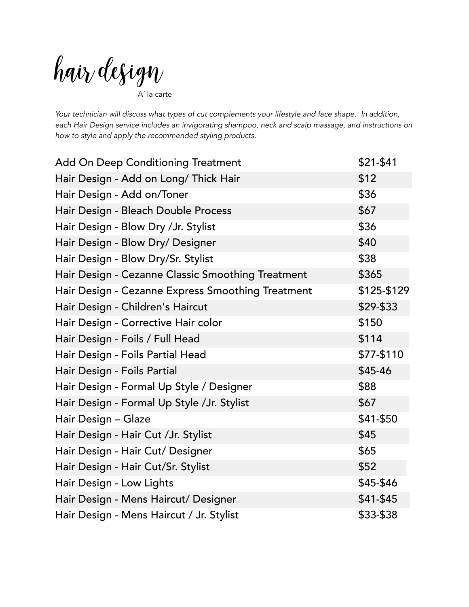hair design A´ la carte

*Your technician will discuss what types of cut complements your lifestyle and face shape. In addition, each Hair Design service includes an invigorating shampoo, neck and scalp massage, and instructions on how to style and apply the recommended styling products.* 

| <b>Add On Deep Conditioning Treatment</b>         | \$21-\$41   |
|---------------------------------------------------|-------------|
| Hair Design - Add on Long/ Thick Hair             | \$12        |
| Hair Design - Add on/Toner                        | \$36        |
| Hair Design - Bleach Double Process               | \$67        |
| Hair Design - Blow Dry / Jr. Stylist              | \$36        |
| Hair Design - Blow Dry/ Designer                  | \$40        |
| Hair Design - Blow Dry/Sr. Stylist                | \$38        |
| Hair Design - Cezanne Classic Smoothing Treatment | \$365       |
| Hair Design - Cezanne Express Smoothing Treatment | \$125-\$129 |
| Hair Design - Children's Haircut                  | \$29-\$33   |
| Hair Design - Corrective Hair color               | \$150       |
| Hair Design - Foils / Full Head                   | \$114       |
| Hair Design - Foils Partial Head                  | \$77-\$110  |
| Hair Design - Foils Partial                       | \$45-46     |
| Hair Design - Formal Up Style / Designer          | \$88        |
| Hair Design - Formal Up Style /Jr. Stylist        | \$67        |
| Hair Design - Glaze                               | \$41-\$50   |
| Hair Design - Hair Cut / Jr. Stylist              | \$45        |
| Hair Design - Hair Cut/ Designer                  | \$65        |
| Hair Design - Hair Cut/Sr. Stylist                | \$52        |
| Hair Design - Low Lights                          | \$45-\$46   |
| Hair Design - Mens Haircut/ Designer              | $$41-$45$   |
| Hair Design - Mens Haircut / Jr. Stylist          | \$33-\$38   |